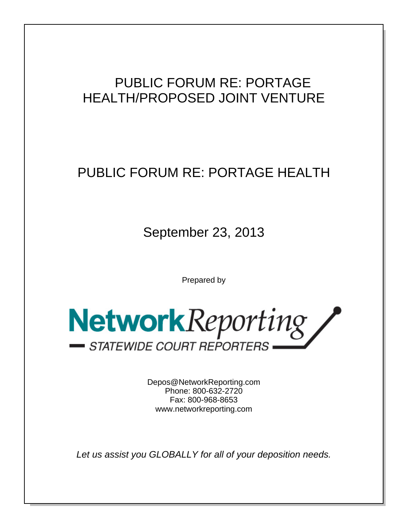# PUBLIC FORUM RE: PORTAGE HEALTH/PROPOSED JOINT VENTURE

# PUBLIC FORUM RE: PORTAGE HEALTH

September 23, 2013

Prepared by



Depos@NetworkReporting.com Phone: 800-632-2720 Fax: 800-968-8653 www.networkreporting.com

*Let us assist you GLOBALLY for all of your deposition needs.*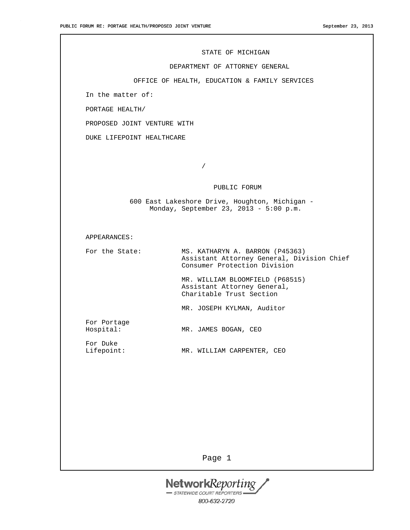#### STATE OF MICHIGAN

# DEPARTMENT OF ATTORNEY GENERAL

OFFICE OF HEALTH, EDUCATION & FAMILY SERVICES

In the matter of:

PORTAGE HEALTH/

PROPOSED JOINT VENTURE WITH

DUKE LIFEPOINT HEALTHCARE

/

## PUBLIC FORUM

 600 East Lakeshore Drive, Houghton, Michigan - Monday, September 23, 2013 - 5:00 p.m.

### APPEARANCES:

For the State: MS. KATHARYN A. BARRON (P45363) Assistant Attorney General, Division Chief Consumer Protection Division

> MR. WILLIAM BLOOMFIELD (P68515) Assistant Attorney General, Charitable Trust Section

MR. JOSEPH KYLMAN, Auditor

For Portage Hospital: MR. JAMES BOGAN, CEO

For Duke<br>Lifepoint:

MR. WILLIAM CARPENTER, CEO

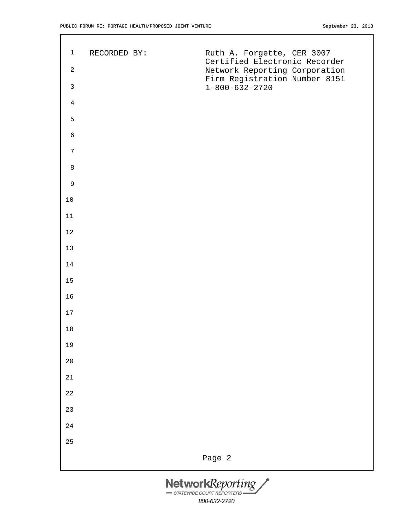| $\mathbf{1}$   | RECORDED BY: | Ruth A. Forgette, CER 3007                                     |
|----------------|--------------|----------------------------------------------------------------|
| $\sqrt{2}$     |              | Certified Electronic Recorder<br>Network Reporting Corporation |
| $\mathsf{3}$   |              | Firm Registration Number 8151<br>$1 - 800 - 632 - 2720$        |
| $\overline{4}$ |              |                                                                |
| 5              |              |                                                                |
| $\epsilon$     |              |                                                                |
| $\overline{7}$ |              |                                                                |
| $\,8\,$        |              |                                                                |
| $\mathsf 9$    |              |                                                                |
| $10$           |              |                                                                |
| $1\,1$         |              |                                                                |
| 12             |              |                                                                |
| 13             |              |                                                                |
| $14\,$         |              |                                                                |
| $15$           |              |                                                                |
| 16             |              |                                                                |
| $17\,$         |              |                                                                |
| $1\,8$         |              |                                                                |
| 19             |              |                                                                |
| 20             |              |                                                                |
| $21\,$         |              |                                                                |
| $2\sqrt{2}$    |              |                                                                |
| 23             |              |                                                                |
| 24             |              |                                                                |
| 25             |              |                                                                |
|                |              | Page 2                                                         |
|                |              | $M$ otu $\omega$ uleD montino                                  |

**NetworkReporting** 800-632-2720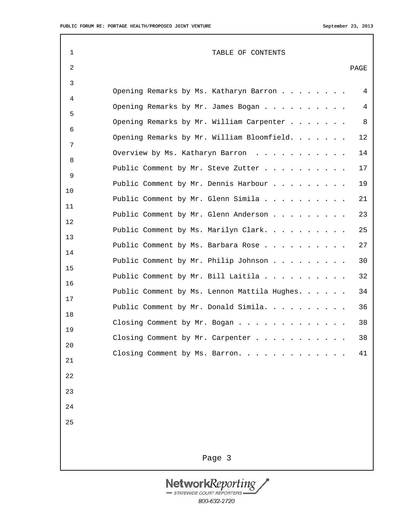| $\mathbf 1$    | TABLE OF CONTENTS                                  |
|----------------|----------------------------------------------------|
| 2              | PAGE                                               |
| $\mathfrak{Z}$ | 4                                                  |
| 4              | Opening Remarks by Ms. Katharyn Barron             |
| 5              | 4<br>Opening Remarks by Mr. James Bogan            |
| 6              | Opening Remarks by Mr. William Carpenter<br>8      |
| 7              | Opening Remarks by Mr. William Bloomfield.<br>12   |
| 8              | Overview by Ms. Katharyn Barron<br>14              |
| 9              | Public Comment by Mr. Steve Zutter<br>17           |
| 10             | Public Comment by Mr. Dennis Harbour<br>19         |
| 11             | Public Comment by Mr. Glenn Simila<br>21           |
| 12             | 23<br>Public Comment by Mr. Glenn Anderson         |
| 13             | Public Comment by Ms. Marilyn Clark.<br>25         |
| 14             | 27<br>Public Comment by Ms. Barbara Rose           |
| 15             | Public Comment by Mr. Philip Johnson<br>30         |
| 16             | 32<br>Public Comment by Mr. Bill Laitila           |
| 17             | Public Comment by Ms. Lennon Mattila Hughes.<br>34 |
| 18             | Public Comment by Mr. Donald Simila.<br>36         |
| 19             | 38<br>Closing Comment by Mr. Bogan                 |
| $20$           | Closing Comment by Mr. Carpenter<br>38             |
| 21             | Closing Comment by Ms. Barron.<br>41               |
| 22             |                                                    |
| 23             |                                                    |
| 24             |                                                    |
| 25             |                                                    |
|                |                                                    |
|                | Page 3                                             |

NetworkReporting 800-632-2720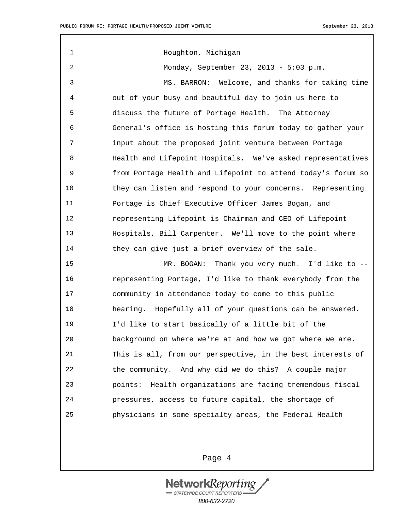1 Houghton, Michigan 2 Monday, September 23, 2013 - 5:03 p.m. 3 MS. BARRON: Welcome, and thanks for taking time 4 out of your busy and beautiful day to join us here to 5 discuss the future of Portage Health. The Attorney 6 General's office is hosting this forum today to gather your 7 input about the proposed joint venture between Portage 8 Health and Lifepoint Hospitals. We've asked representatives 9 from Portage Health and Lifepoint to attend today's forum so 10 they can listen and respond to your concerns. Representing 11 Portage is Chief Executive Officer James Bogan, and 12 representing Lifepoint is Chairman and CEO of Lifepoint 13 Hospitals, Bill Carpenter. We'll move to the point where 14 they can give just a brief overview of the sale. 15 MR. BOGAN: Thank you very much. I'd like to -- 16 representing Portage, I'd like to thank everybody from the 17 community in attendance today to come to this public 18 hearing. Hopefully all of your questions can be answered. 19 I'd like to start basically of a little bit of the 20 background on where we're at and how we got where we are. 21 This is all, from our perspective, in the best interests of 22 the community. And why did we do this? A couple major 23 points: Health organizations are facing tremendous fiscal 24 pressures, access to future capital, the shortage of 25 physicians in some specialty areas, the Federal Health

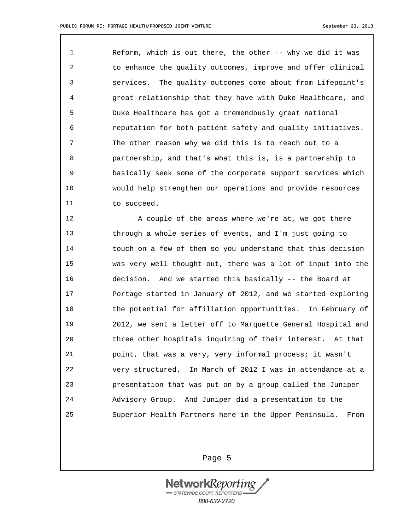1 Reform, which is out there, the other -- why we did it was 2 to enhance the quality outcomes, improve and offer clinical 3 services. The quality outcomes come about from Lifepoint's 4 great relationship that they have with Duke Healthcare, and 5 Duke Healthcare has got a tremendously great national 6 reputation for both patient safety and quality initiatives. 7 The other reason why we did this is to reach out to a 8 partnership, and that's what this is, is a partnership to 9 basically seek some of the corporate support services which 10 would help strengthen our operations and provide resources 11 to succeed.

12 A couple of the areas where we're at, we got there 13 through a whole series of events, and I'm just going to 14 touch on a few of them so you understand that this decision 15 was very well thought out, there was a lot of input into the 16 decision. And we started this basically -- the Board at 17 Portage started in January of 2012, and we started exploring 18 the potential for affiliation opportunities. In February of 19 2012, we sent a letter off to Marquette General Hospital and 20 three other hospitals inquiring of their interest. At that 21 point, that was a very, very informal process; it wasn't 22 very structured. In March of 2012 I was in attendance at a 23 presentation that was put on by a group called the Juniper 24 Advisory Group. And Juniper did a presentation to the 25 Superior Health Partners here in the Upper Peninsula. From

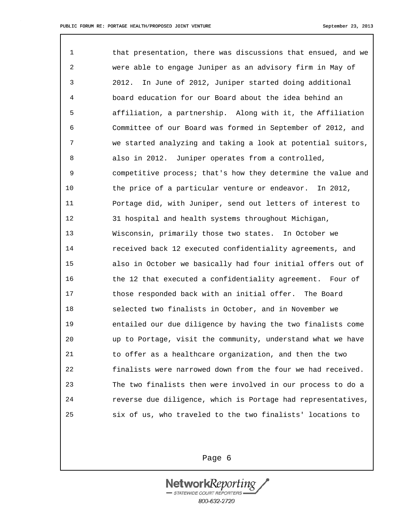1 that presentation, there was discussions that ensued, and we 2 were able to engage Juniper as an advisory firm in May of 3 2012. In June of 2012, Juniper started doing additional 4 board education for our Board about the idea behind an 5 affiliation, a partnership. Along with it, the Affiliation 6 Committee of our Board was formed in September of 2012, and 7 we started analyzing and taking a look at potential suitors, 8 also in 2012. Juniper operates from a controlled, 9 competitive process; that's how they determine the value and 10 the price of a particular venture or endeavor. In 2012, 11 Portage did, with Juniper, send out letters of interest to 12 31 hospital and health systems throughout Michigan, 13 Wisconsin, primarily those two states. In October we 14 received back 12 executed confidentiality agreements, and 15 also in October we basically had four initial offers out of 16 the 12 that executed a confidentiality agreement. Four of 17 those responded back with an initial offer. The Board 18 selected two finalists in October, and in November we 19 entailed our due diligence by having the two finalists come 20 up to Portage, visit the community, understand what we have 21 to offer as a healthcare organization, and then the two 22 finalists were narrowed down from the four we had received. 23 The two finalists then were involved in our process to do a 24 reverse due diligence, which is Portage had representatives, 25 six of us, who traveled to the two finalists' locations to

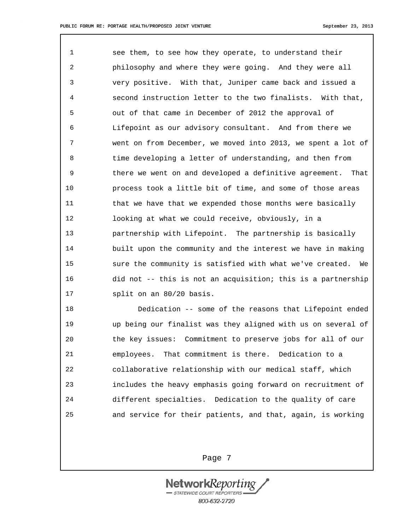1 see them, to see how they operate, to understand their 2 philosophy and where they were going. And they were all 3 very positive. With that, Juniper came back and issued a 4 second instruction letter to the two finalists. With that, 5 out of that came in December of 2012 the approval of 6 Lifepoint as our advisory consultant. And from there we 7 went on from December, we moved into 2013, we spent a lot of 8 time developing a letter of understanding, and then from 9 there we went on and developed a definitive agreement. That 10 process took a little bit of time, and some of those areas 11 that we have that we expended those months were basically 12 looking at what we could receive, obviously, in a 13 partnership with Lifepoint. The partnership is basically 14 built upon the community and the interest we have in making 15 sure the community is satisfied with what we've created. We 16 did not -- this is not an acquisition; this is a partnership 17 split on an 80/20 basis.

18 Dedication -- some of the reasons that Lifepoint ended 19 up being our finalist was they aligned with us on several of 20 the key issues: Commitment to preserve jobs for all of our 21 employees. That commitment is there. Dedication to a 22 collaborative relationship with our medical staff, which 23 includes the heavy emphasis going forward on recruitment of 24 different specialties. Dedication to the quality of care 25 and service for their patients, and that, again, is working

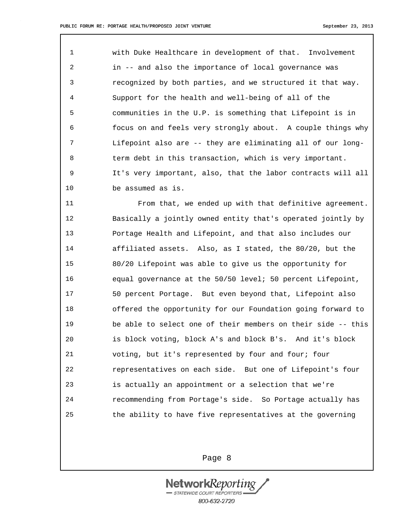1 with Duke Healthcare in development of that. Involvement 2 in -- and also the importance of local governance was 3 recognized by both parties, and we structured it that way. 4 Support for the health and well-being of all of the 5 communities in the U.P. is something that Lifepoint is in 6 focus on and feels very strongly about. A couple things why 7 Lifepoint also are -- they are eliminating all of our long-8 term debt in this transaction, which is very important. 9 It's very important, also, that the labor contracts will all 10 be assumed as is.

11 From that, we ended up with that definitive agreement. 12 Basically a jointly owned entity that's operated jointly by 13 Portage Health and Lifepoint, and that also includes our 14 affiliated assets. Also, as I stated, the 80/20, but the 15 80/20 Lifepoint was able to give us the opportunity for 16 equal governance at the 50/50 level; 50 percent Lifepoint, 17 50 percent Portage. But even beyond that, Lifepoint also 18 offered the opportunity for our Foundation going forward to 19 be able to select one of their members on their side -- this 20 is block voting, block A's and block B's. And it's block 21 voting, but it's represented by four and four; four 22 representatives on each side. But one of Lifepoint's four 23 is actually an appointment or a selection that we're 24 recommending from Portage's side. So Portage actually has 25 the ability to have five representatives at the governing

Page 8

**Network**Keport STATEWIDE COURT REPORTERS 800-632-2720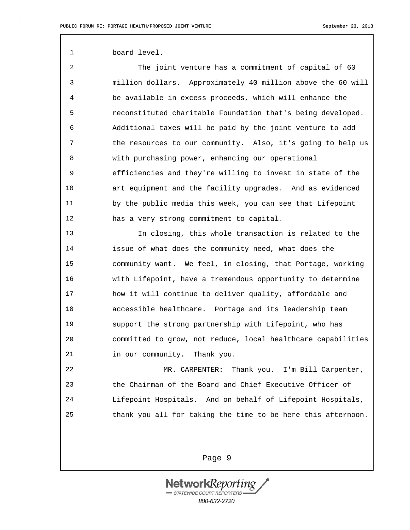1 board level.

2 The joint venture has a commitment of capital of 60 3 million dollars. Approximately 40 million above the 60 will 4 be available in excess proceeds, which will enhance the 5 reconstituted charitable Foundation that's being developed. 6 Additional taxes will be paid by the joint venture to add 7 the resources to our community. Also, it's going to help us 8 with purchasing power, enhancing our operational 9 efficiencies and they're willing to invest in state of the 10 art equipment and the facility upgrades. And as evidenced 11 by the public media this week, you can see that Lifepoint 12 has a very strong commitment to capital.

13 In closing, this whole transaction is related to the 14 issue of what does the community need, what does the 15 community want. We feel, in closing, that Portage, working 16 with Lifepoint, have a tremendous opportunity to determine 17 how it will continue to deliver quality, affordable and 18 accessible healthcare. Portage and its leadership team 19 support the strong partnership with Lifepoint, who has 20 committed to grow, not reduce, local healthcare capabilities 21 in our community. Thank you.

22 MR. CARPENTER: Thank you. I'm Bill Carpenter, 23 the Chairman of the Board and Chief Executive Officer of 24 Lifepoint Hospitals. And on behalf of Lifepoint Hospitals, 25 thank you all for taking the time to be here this afternoon.

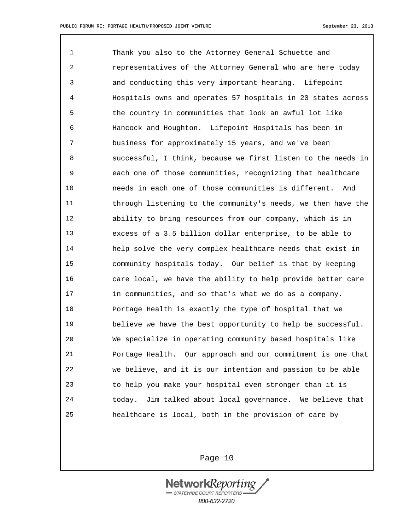1 Thank you also to the Attorney General Schuette and 2 representatives of the Attorney General who are here today 3 and conducting this very important hearing. Lifepoint 4 Hospitals owns and operates 57 hospitals in 20 states across 5 the country in communities that look an awful lot like 6 Hancock and Houghton. Lifepoint Hospitals has been in 7 business for approximately 15 years, and we've been 8 successful, I think, because we first listen to the needs in 9 each one of those communities, recognizing that healthcare 10 needs in each one of those communities is different. And 11 through listening to the community's needs, we then have the 12 ability to bring resources from our company, which is in 13 excess of a 3.5 billion dollar enterprise, to be able to 14 help solve the very complex healthcare needs that exist in 15 community hospitals today. Our belief is that by keeping 16 care local, we have the ability to help provide better care 17 in communities, and so that's what we do as a company. 18 Portage Health is exactly the type of hospital that we 19 believe we have the best opportunity to help be successful. 20 We specialize in operating community based hospitals like 21 Portage Health. Our approach and our commitment is one that 22 we believe, and it is our intention and passion to be able 23 to help you make your hospital even stronger than it is 24 today. Jim talked about local governance. We believe that 25 healthcare is local, both in the provision of care by

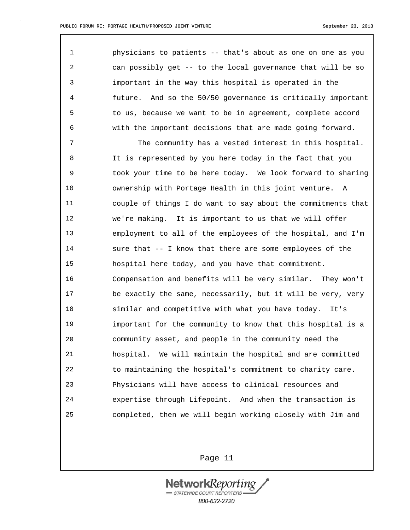1 physicians to patients -- that's about as one on one as you 2 can possibly get -- to the local governance that will be so 3 important in the way this hospital is operated in the 4 future. And so the 50/50 governance is critically important 5 to us, because we want to be in agreement, complete accord 6 with the important decisions that are made going forward. 7 The community has a vested interest in this hospital.

8 It is represented by you here today in the fact that you 9 took your time to be here today. We look forward to sharing 10 ownership with Portage Health in this joint venture. A 11 couple of things I do want to say about the commitments that 12 we're making. It is important to us that we will offer 13 employment to all of the employees of the hospital, and I'm 14 sure that -- I know that there are some employees of the 15 hospital here today, and you have that commitment. 16 Compensation and benefits will be very similar. They won't 17 be exactly the same, necessarily, but it will be very, very 18 similar and competitive with what you have today. It's 19 important for the community to know that this hospital is a 20 community asset, and people in the community need the 21 hospital. We will maintain the hospital and are committed 22 to maintaining the hospital's commitment to charity care. 23 Physicians will have access to clinical resources and 24 expertise through Lifepoint. And when the transaction is 25 completed, then we will begin working closely with Jim and

Page 11

**NetworkReport** STATEWIDE COURT REPORTERS 800-632-2720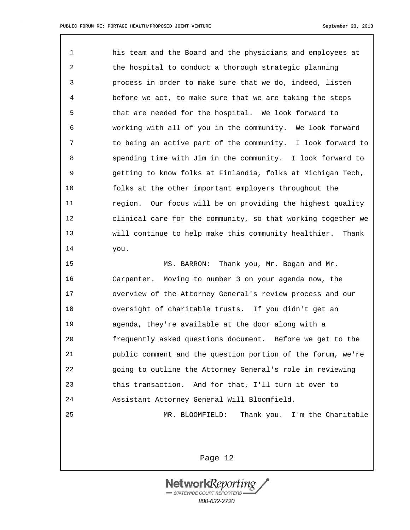1 his team and the Board and the physicians and employees at 2 the hospital to conduct a thorough strategic planning 3 process in order to make sure that we do, indeed, listen 4 before we act, to make sure that we are taking the steps 5 that are needed for the hospital. We look forward to 6 working with all of you in the community. We look forward 7 to being an active part of the community. I look forward to 8 spending time with Jim in the community. I look forward to 9 getting to know folks at Finlandia, folks at Michigan Tech, 10 folks at the other important employers throughout the 11 region. Our focus will be on providing the highest quality 12 clinical care for the community, so that working together we 13 will continue to help make this community healthier. Thank 14 you.

15 MS. BARRON: Thank you, Mr. Bogan and Mr. 16 Carpenter. Moving to number 3 on your agenda now, the 17 overview of the Attorney General's review process and our 18 oversight of charitable trusts. If you didn't get an 19 agenda, they're available at the door along with a 20 frequently asked questions document. Before we get to the 21 public comment and the question portion of the forum, we're 22 going to outline the Attorney General's role in reviewing 23 this transaction. And for that, I'll turn it over to 24 Assistant Attorney General Will Bloomfield. 25 MR. BLOOMFIELD: Thank you. I'm the Charitable

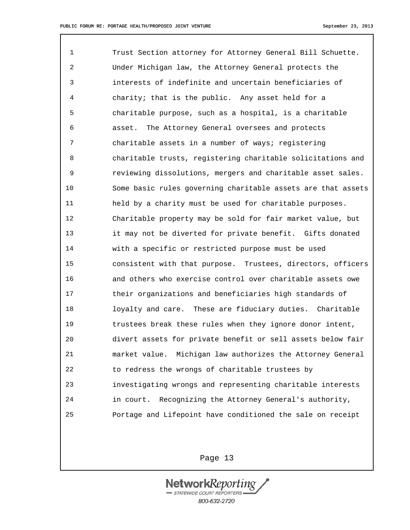1 Trust Section attorney for Attorney General Bill Schuette. 2 Under Michigan law, the Attorney General protects the 3 interests of indefinite and uncertain beneficiaries of 4 charity; that is the public. Any asset held for a 5 charitable purpose, such as a hospital, is a charitable 6 asset. The Attorney General oversees and protects 7 charitable assets in a number of ways; registering 8 charitable trusts, registering charitable solicitations and 9 reviewing dissolutions, mergers and charitable asset sales. 10 Some basic rules governing charitable assets are that assets 11 held by a charity must be used for charitable purposes. 12 Charitable property may be sold for fair market value, but 13 it may not be diverted for private benefit. Gifts donated 14 with a specific or restricted purpose must be used 15 consistent with that purpose. Trustees, directors, officers 16 and others who exercise control over charitable assets owe 17 their organizations and beneficiaries high standards of 18 loyalty and care. These are fiduciary duties. Charitable 19 trustees break these rules when they ignore donor intent, 20 divert assets for private benefit or sell assets below fair 21 market value. Michigan law authorizes the Attorney General 22 to redress the wrongs of charitable trustees by 23 investigating wrongs and representing charitable interests 24 in court. Recognizing the Attorney General's authority, 25 Portage and Lifepoint have conditioned the sale on receipt

Page 13

**NetworkReport**  $S\rightarrow$  STATEWIDE COURT REPORTERS 800-632-2720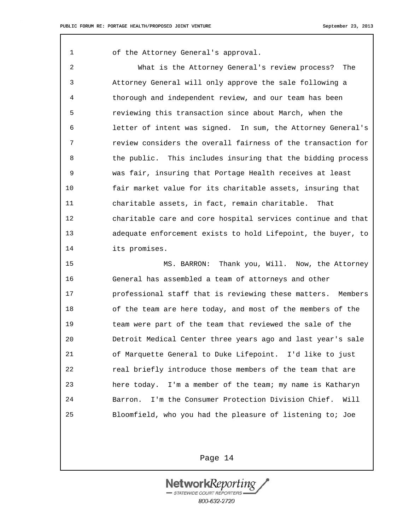1 of the Attorney General's approval.

2 What is the Attorney General's review process? The 3 Attorney General will only approve the sale following a 4 thorough and independent review, and our team has been 5 reviewing this transaction since about March, when the 6 letter of intent was signed. In sum, the Attorney General's 7 review considers the overall fairness of the transaction for 8 the public. This includes insuring that the bidding process 9 was fair, insuring that Portage Health receives at least 10 fair market value for its charitable assets, insuring that 11 charitable assets, in fact, remain charitable. That 12 charitable care and core hospital services continue and that 13 adequate enforcement exists to hold Lifepoint, the buyer, to 14 its promises.

15 MS. BARRON: Thank you, Will. Now, the Attorney 16 General has assembled a team of attorneys and other 17 professional staff that is reviewing these matters. Members 18 of the team are here today, and most of the members of the 19 team were part of the team that reviewed the sale of the 20 Detroit Medical Center three years ago and last year's sale 21 of Marquette General to Duke Lifepoint. I'd like to just 22 real briefly introduce those members of the team that are 23 here today. I'm a member of the team; my name is Katharyn 24 Barron. I'm the Consumer Protection Division Chief. Will 25 Bloomfield, who you had the pleasure of listening to; Joe

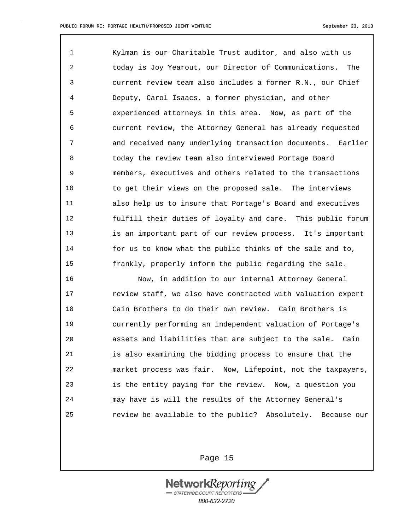1 Kylman is our Charitable Trust auditor, and also with us 2 today is Joy Yearout, our Director of Communications. The 3 current review team also includes a former R.N., our Chief 4 Deputy, Carol Isaacs, a former physician, and other 5 experienced attorneys in this area. Now, as part of the 6 current review, the Attorney General has already requested 7 and received many underlying transaction documents. Earlier 8 today the review team also interviewed Portage Board 9 members, executives and others related to the transactions 10 to get their views on the proposed sale. The interviews 11 also help us to insure that Portage's Board and executives 12 fulfill their duties of loyalty and care. This public forum 13 is an important part of our review process. It's important 14 for us to know what the public thinks of the sale and to, 15 frankly, properly inform the public regarding the sale.

16 Now, in addition to our internal Attorney General 17 review staff, we also have contracted with valuation expert 18 Cain Brothers to do their own review. Cain Brothers is 19 currently performing an independent valuation of Portage's 20 assets and liabilities that are subject to the sale. Cain 21 is also examining the bidding process to ensure that the 22 market process was fair. Now, Lifepoint, not the taxpayers, 23 is the entity paying for the review. Now, a question you 24 may have is will the results of the Attorney General's 25 review be available to the public? Absolutely. Because our

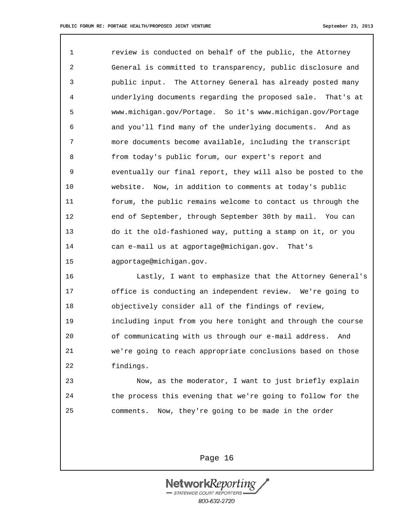1 review is conducted on behalf of the public, the Attorney 2 General is committed to transparency, public disclosure and 3 public input. The Attorney General has already posted many 4 underlying documents regarding the proposed sale. That's at 5 www.michigan.gov/Portage. So it's www.michigan.gov/Portage 6 and you'll find many of the underlying documents. And as 7 more documents become available, including the transcript 8 from today's public forum, our expert's report and 9 eventually our final report, they will also be posted to the 10 website. Now, in addition to comments at today's public 11 forum, the public remains welcome to contact us through the 12 end of September, through September 30th by mail. You can 13 do it the old-fashioned way, putting a stamp on it, or you 14 can e-mail us at agportage@michigan.gov. That's 15 agportage@michigan.gov.

16 Lastly, I want to emphasize that the Attorney General's 17 office is conducting an independent review. We're going to 18 objectively consider all of the findings of review, 19 including input from you here tonight and through the course 20 of communicating with us through our e-mail address. And 21 we're going to reach appropriate conclusions based on those 22 findings.

23 Now, as the moderator, I want to just briefly explain 24 the process this evening that we're going to follow for the 25 comments. Now, they're going to be made in the order

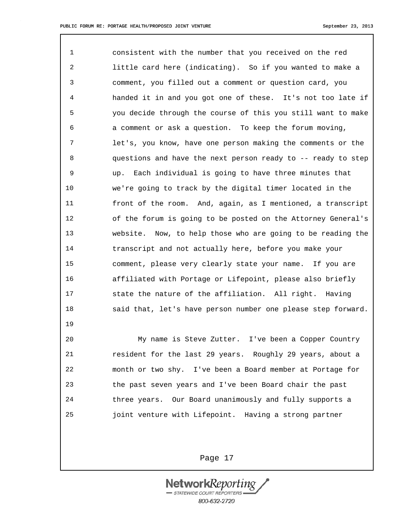19

1 consistent with the number that you received on the red 2 little card here (indicating). So if you wanted to make a 3 comment, you filled out a comment or question card, you 4 handed it in and you got one of these. It's not too late if 5 you decide through the course of this you still want to make 6 a comment or ask a question. To keep the forum moving, 7 let's, you know, have one person making the comments or the 8 questions and have the next person ready to -- ready to step 9 up. Each individual is going to have three minutes that 10 we're going to track by the digital timer located in the 11 front of the room. And, again, as I mentioned, a transcript 12 of the forum is going to be posted on the Attorney General's 13 website. Now, to help those who are going to be reading the 14 transcript and not actually here, before you make your 15 comment, please very clearly state your name. If you are 16 affiliated with Portage or Lifepoint, please also briefly 17 state the nature of the affiliation. All right. Having 18 said that, let's have person number one please step forward.

20 My name is Steve Zutter. I've been a Copper Country 21 resident for the last 29 years. Roughly 29 years, about a 22 month or two shy. I've been a Board member at Portage for 23 the past seven years and I've been Board chair the past 24 three years. Our Board unanimously and fully supports a 25 joint venture with Lifepoint. Having a strong partner

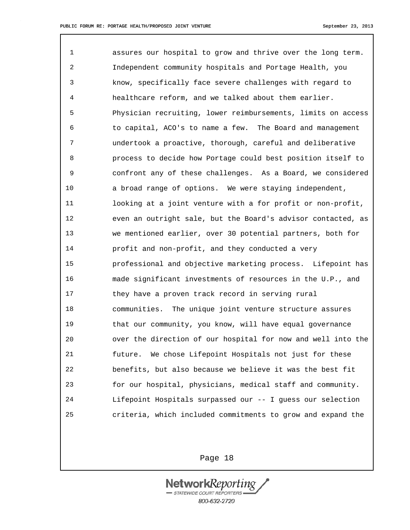1 assures our hospital to grow and thrive over the long term. 2 Independent community hospitals and Portage Health, you 3 know, specifically face severe challenges with regard to 4 healthcare reform, and we talked about them earlier. 5 Physician recruiting, lower reimbursements, limits on access 6 to capital, ACO's to name a few. The Board and management 7 undertook a proactive, thorough, careful and deliberative 8 process to decide how Portage could best position itself to 9 confront any of these challenges. As a Board, we considered 10 a broad range of options. We were staying independent, 11 looking at a joint venture with a for profit or non-profit, 12 even an outright sale, but the Board's advisor contacted, as 13 we mentioned earlier, over 30 potential partners, both for 14 profit and non-profit, and they conducted a very 15 professional and objective marketing process. Lifepoint has 16 made significant investments of resources in the U.P., and 17 they have a proven track record in serving rural 18 communities. The unique joint venture structure assures 19 that our community, you know, will have equal governance 20 over the direction of our hospital for now and well into the 21 future. We chose Lifepoint Hospitals not just for these 22 benefits, but also because we believe it was the best fit 23 for our hospital, physicians, medical staff and community. 24 Lifepoint Hospitals surpassed our -- I guess our selection 25 criteria, which included commitments to grow and expand the

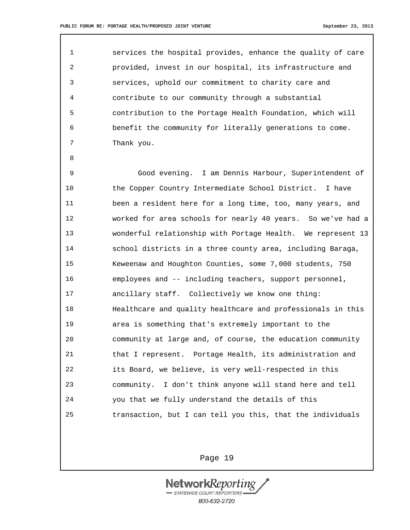8

1 services the hospital provides, enhance the quality of care 2 provided, invest in our hospital, its infrastructure and 3 services, uphold our commitment to charity care and 4 contribute to our community through a substantial 5 contribution to the Portage Health Foundation, which will 6 benefit the community for literally generations to come. 7 Thank you.

9 Good evening. I am Dennis Harbour, Superintendent of 10 the Copper Country Intermediate School District. I have 11 been a resident here for a long time, too, many years, and 12 worked for area schools for nearly 40 years. So we've had a 13 wonderful relationship with Portage Health. We represent 13 14 school districts in a three county area, including Baraga, 15 Keweenaw and Houghton Counties, some 7,000 students, 750 16 employees and -- including teachers, support personnel, 17 ancillary staff. Collectively we know one thing: 18 Healthcare and quality healthcare and professionals in this 19 area is something that's extremely important to the 20 community at large and, of course, the education community 21 that I represent. Portage Health, its administration and 22 its Board, we believe, is very well-respected in this 23 community. I don't think anyone will stand here and tell 24 you that we fully understand the details of this 25 transaction, but I can tell you this, that the individuals

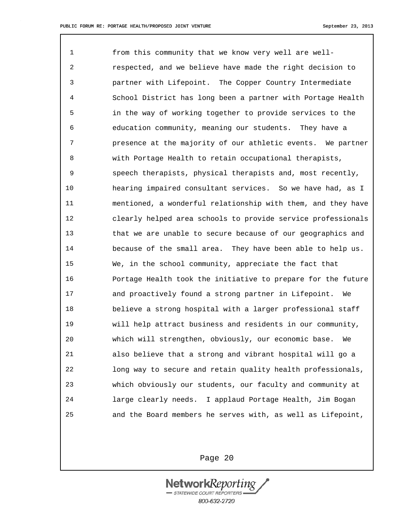1 from this community that we know very well are well-2 respected, and we believe have made the right decision to 3 partner with Lifepoint. The Copper Country Intermediate 4 School District has long been a partner with Portage Health 5 in the way of working together to provide services to the 6 education community, meaning our students. They have a 7 presence at the majority of our athletic events. We partner 8 with Portage Health to retain occupational therapists, 9 speech therapists, physical therapists and, most recently, 10 hearing impaired consultant services. So we have had, as I 11 mentioned, a wonderful relationship with them, and they have 12 clearly helped area schools to provide service professionals 13 that we are unable to secure because of our geographics and 14 because of the small area. They have been able to help us. 15 We, in the school community, appreciate the fact that 16 Portage Health took the initiative to prepare for the future 17 and proactively found a strong partner in Lifepoint. We 18 believe a strong hospital with a larger professional staff 19 will help attract business and residents in our community, 20 which will strengthen, obviously, our economic base. We 21 also believe that a strong and vibrant hospital will go a 22 long way to secure and retain quality health professionals, 23 which obviously our students, our faculty and community at 24 large clearly needs. I applaud Portage Health, Jim Bogan 25 and the Board members he serves with, as well as Lifepoint,

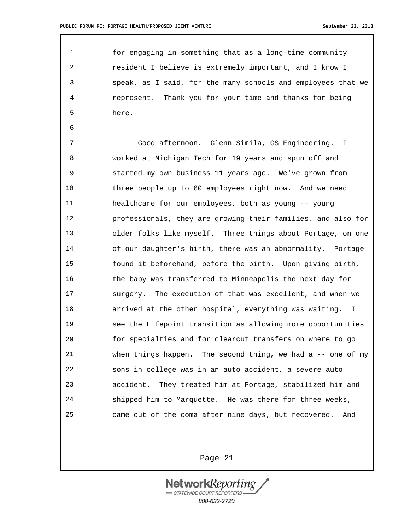6

1 for engaging in something that as a long-time community 2 resident I believe is extremely important, and I know I 3 speak, as I said, for the many schools and employees that we 4 represent. Thank you for your time and thanks for being 5 here.

7 Good afternoon. Glenn Simila, GS Engineering. I 8 worked at Michigan Tech for 19 years and spun off and 9 started my own business 11 years ago. We've grown from 10 three people up to 60 employees right now. And we need 11 healthcare for our employees, both as young -- young 12 professionals, they are growing their families, and also for 13 older folks like myself. Three things about Portage, on one 14 of our daughter's birth, there was an abnormality. Portage 15 found it beforehand, before the birth. Upon giving birth, 16 the baby was transferred to Minneapolis the next day for 17 surgery. The execution of that was excellent, and when we 18 arrived at the other hospital, everything was waiting. I 19 see the Lifepoint transition as allowing more opportunities 20 for specialties and for clearcut transfers on where to go 21 when things happen. The second thing, we had a -- one of my 22 sons in college was in an auto accident, a severe auto 23 accident. They treated him at Portage, stabilized him and 24 shipped him to Marquette. He was there for three weeks, 25 came out of the coma after nine days, but recovered. And

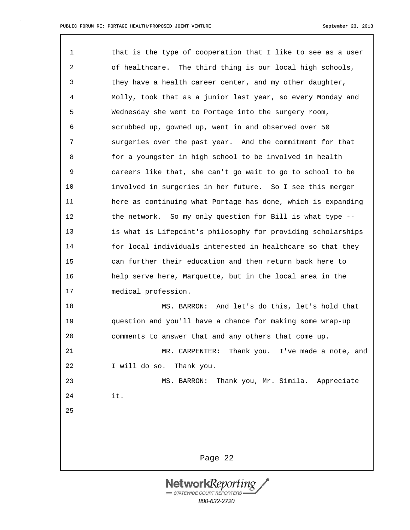Page 22 1 that is the type of cooperation that I like to see as a user 2 of healthcare. The third thing is our local high schools, 3 they have a health career center, and my other daughter, 4 Molly, took that as a junior last year, so every Monday and 5 Wednesday she went to Portage into the surgery room, 6 scrubbed up, gowned up, went in and observed over 50 7 surgeries over the past year. And the commitment for that 8 for a youngster in high school to be involved in health 9 careers like that, she can't go wait to go to school to be 10 involved in surgeries in her future. So I see this merger 11 here as continuing what Portage has done, which is expanding 12 the network. So my only question for Bill is what type --13 is what is Lifepoint's philosophy for providing scholarships 14 for local individuals interested in healthcare so that they 15 can further their education and then return back here to 16 help serve here, Marquette, but in the local area in the 17 medical profession. 18 MS. BARRON: And let's do this, let's hold that 19 question and you'll have a chance for making some wrap-up 20 comments to answer that and any others that come up. 21 MR. CARPENTER: Thank you. I've made a note, and 22 I will do so. Thank you. 23 MS. BARRON: Thank you, Mr. Simila. Appreciate 24 it. 25

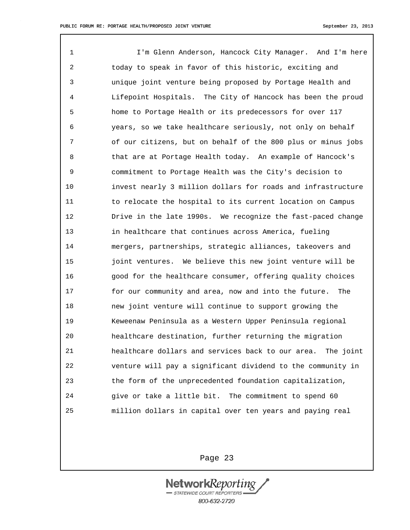1 I'm Glenn Anderson, Hancock City Manager. And I'm here 2 today to speak in favor of this historic, exciting and 3 unique joint venture being proposed by Portage Health and 4 Lifepoint Hospitals. The City of Hancock has been the proud 5 home to Portage Health or its predecessors for over 117 6 years, so we take healthcare seriously, not only on behalf 7 of our citizens, but on behalf of the 800 plus or minus jobs 8 that are at Portage Health today. An example of Hancock's 9 commitment to Portage Health was the City's decision to 10 invest nearly 3 million dollars for roads and infrastructure 11 to relocate the hospital to its current location on Campus 12 Drive in the late 1990s. We recognize the fast-paced change 13 in healthcare that continues across America, fueling 14 mergers, partnerships, strategic alliances, takeovers and 15 joint ventures. We believe this new joint venture will be 16 good for the healthcare consumer, offering quality choices 17 for our community and area, now and into the future. The 18 new joint venture will continue to support growing the 19 Keweenaw Peninsula as a Western Upper Peninsula regional 20 healthcare destination, further returning the migration 21 healthcare dollars and services back to our area. The joint 22 venture will pay a significant dividend to the community in 23 the form of the unprecedented foundation capitalization, 24 give or take a little bit. The commitment to spend 60 25 million dollars in capital over ten years and paying real

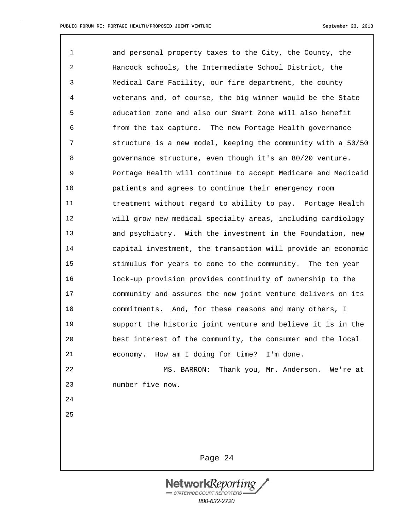25

1 and personal property taxes to the City, the County, the 2 Hancock schools, the Intermediate School District, the 3 Medical Care Facility, our fire department, the county 4 veterans and, of course, the big winner would be the State 5 education zone and also our Smart Zone will also benefit 6 from the tax capture. The new Portage Health governance 7 structure is a new model, keeping the community with a 50/50 8 governance structure, even though it's an 80/20 venture. 9 Portage Health will continue to accept Medicare and Medicaid 10 patients and agrees to continue their emergency room 11 treatment without regard to ability to pay. Portage Health 12 will grow new medical specialty areas, including cardiology 13 and psychiatry. With the investment in the Foundation, new 14 capital investment, the transaction will provide an economic 15 stimulus for years to come to the community. The ten year 16 lock-up provision provides continuity of ownership to the 17 community and assures the new joint venture delivers on its 18 commitments. And, for these reasons and many others, I 19 support the historic joint venture and believe it is in the 20 best interest of the community, the consumer and the local 21 economy. How am I doing for time? I'm done. 22 MS. BARRON: Thank you, Mr. Anderson. We're at 23 number five now. 24

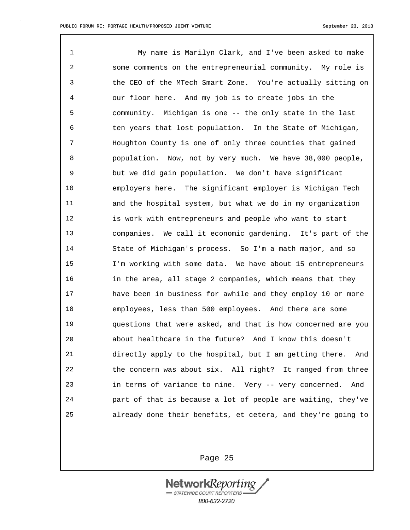1 My name is Marilyn Clark, and I've been asked to make 2 some comments on the entrepreneurial community. My role is 3 the CEO of the MTech Smart Zone. You're actually sitting on 4 our floor here. And my job is to create jobs in the 5 community. Michigan is one -- the only state in the last 6 ten years that lost population. In the State of Michigan, 7 Houghton County is one of only three counties that gained 8 population. Now, not by very much. We have 38,000 people, 9 but we did gain population. We don't have significant 10 employers here. The significant employer is Michigan Tech 11 and the hospital system, but what we do in my organization 12 is work with entrepreneurs and people who want to start 13 companies. We call it economic gardening. It's part of the 14 State of Michigan's process. So I'm a math major, and so 15 I'm working with some data. We have about 15 entrepreneurs 16 in the area, all stage 2 companies, which means that they 17 have been in business for awhile and they employ 10 or more 18 employees, less than 500 employees. And there are some 19 questions that were asked, and that is how concerned are you 20 about healthcare in the future? And I know this doesn't 21 directly apply to the hospital, but I am getting there. And 22 the concern was about six. All right? It ranged from three 23 in terms of variance to nine. Very -- very concerned. And 24 part of that is because a lot of people are waiting, they've 25 already done their benefits, et cetera, and they're going to

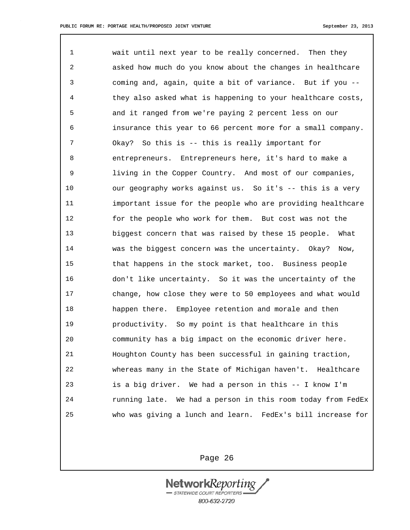1 wait until next year to be really concerned. Then they 2 asked how much do you know about the changes in healthcare 3 coming and, again, quite a bit of variance. But if you -- 4 they also asked what is happening to your healthcare costs, 5 and it ranged from we're paying 2 percent less on our 6 insurance this year to 66 percent more for a small company. 7 Okay? So this is -- this is really important for 8 entrepreneurs. Entrepreneurs here, it's hard to make a 9 living in the Copper Country. And most of our companies, 10 our geography works against us. So it's -- this is a very 11 important issue for the people who are providing healthcare 12 for the people who work for them. But cost was not the 13 biggest concern that was raised by these 15 people. What 14 was the biggest concern was the uncertainty. Okay? Now, 15 that happens in the stock market, too. Business people 16 don't like uncertainty. So it was the uncertainty of the 17 change, how close they were to 50 employees and what would 18 happen there. Employee retention and morale and then 19 productivity. So my point is that healthcare in this 20 community has a big impact on the economic driver here. 21 Houghton County has been successful in gaining traction, 22 whereas many in the State of Michigan haven't. Healthcare 23 is a big driver. We had a person in this -- I know I'm 24 running late. We had a person in this room today from FedEx 25 who was giving a lunch and learn. FedEx's bill increase for

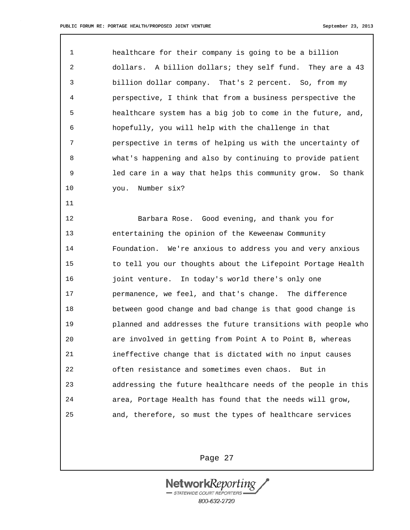11

1 healthcare for their company is going to be a billion 2 dollars. A billion dollars; they self fund. They are a 43 3 billion dollar company. That's 2 percent. So, from my 4 perspective, I think that from a business perspective the 5 healthcare system has a big job to come in the future, and, 6 hopefully, you will help with the challenge in that 7 perspective in terms of helping us with the uncertainty of 8 what's happening and also by continuing to provide patient 9 led care in a way that helps this community grow. So thank 10 you. Number six?

12 Barbara Rose. Good evening, and thank you for 13 entertaining the opinion of the Keweenaw Community 14 Foundation. We're anxious to address you and very anxious 15 to tell you our thoughts about the Lifepoint Portage Health 16 joint venture. In today's world there's only one 17 permanence, we feel, and that's change. The difference 18 between good change and bad change is that good change is 19 planned and addresses the future transitions with people who 20 are involved in getting from Point A to Point B, whereas 21 ineffective change that is dictated with no input causes 22 often resistance and sometimes even chaos. But in 23 addressing the future healthcare needs of the people in this 24 area, Portage Health has found that the needs will grow, 25 and, therefore, so must the types of healthcare services

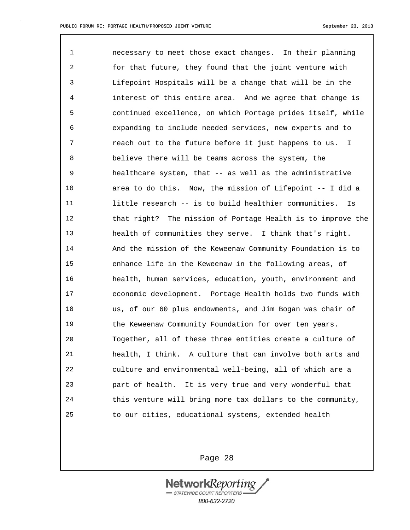1 necessary to meet those exact changes. In their planning 2 for that future, they found that the joint venture with 3 Lifepoint Hospitals will be a change that will be in the 4 interest of this entire area. And we agree that change is 5 continued excellence, on which Portage prides itself, while 6 expanding to include needed services, new experts and to 7 reach out to the future before it just happens to us. I 8 believe there will be teams across the system, the 9 healthcare system, that -- as well as the administrative 10 area to do this. Now, the mission of Lifepoint -- I did a 11 little research -- is to build healthier communities. Is 12 that right? The mission of Portage Health is to improve the 13 health of communities they serve. I think that's right. 14 And the mission of the Keweenaw Community Foundation is to 15 enhance life in the Keweenaw in the following areas, of 16 health, human services, education, youth, environment and 17 economic development. Portage Health holds two funds with 18 us, of our 60 plus endowments, and Jim Bogan was chair of 19 the Keweenaw Community Foundation for over ten years. 20 Together, all of these three entities create a culture of 21 health, I think. A culture that can involve both arts and 22 culture and environmental well-being, all of which are a 23 part of health. It is very true and very wonderful that 24 this venture will bring more tax dollars to the community, 25 to our cities, educational systems, extended health

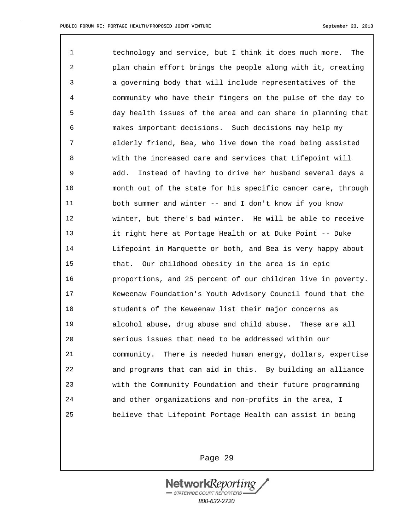1 technology and service, but I think it does much more. The 2 plan chain effort brings the people along with it, creating 3 a governing body that will include representatives of the 4 community who have their fingers on the pulse of the day to 5 day health issues of the area and can share in planning that 6 makes important decisions. Such decisions may help my 7 elderly friend, Bea, who live down the road being assisted 8 with the increased care and services that Lifepoint will 9 add. Instead of having to drive her husband several days a 10 month out of the state for his specific cancer care, through 11 both summer and winter -- and I don't know if you know 12 winter, but there's bad winter. He will be able to receive 13 it right here at Portage Health or at Duke Point -- Duke 14 Lifepoint in Marquette or both, and Bea is very happy about 15 that. Our childhood obesity in the area is in epic 16 proportions, and 25 percent of our children live in poverty. 17 Keweenaw Foundation's Youth Advisory Council found that the 18 students of the Keweenaw list their major concerns as 19 alcohol abuse, drug abuse and child abuse. These are all 20 serious issues that need to be addressed within our 21 community. There is needed human energy, dollars, expertise 22 and programs that can aid in this. By building an alliance 23 with the Community Foundation and their future programming 24 and other organizations and non-profits in the area, I 25 believe that Lifepoint Portage Health can assist in being

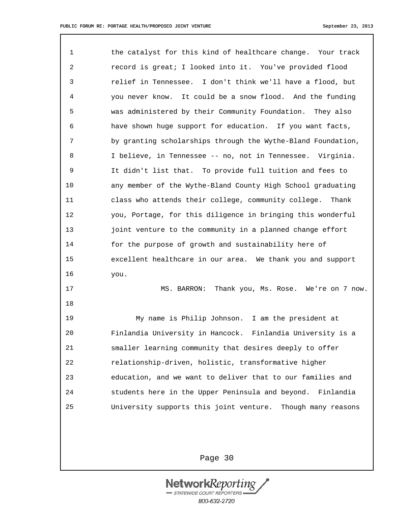18

1 the catalyst for this kind of healthcare change. Your track 2 record is great; I looked into it. You've provided flood 3 relief in Tennessee. I don't think we'll have a flood, but 4 you never know. It could be a snow flood. And the funding 5 was administered by their Community Foundation. They also 6 have shown huge support for education. If you want facts, 7 by granting scholarships through the Wythe-Bland Foundation, 8 I believe, in Tennessee -- no, not in Tennessee. Virginia. 9 It didn't list that. To provide full tuition and fees to 10 any member of the Wythe-Bland County High School graduating 11 class who attends their college, community college. Thank 12 you, Portage, for this diligence in bringing this wonderful 13 **joint venture to the community in a planned change effort** 14 for the purpose of growth and sustainability here of 15 excellent healthcare in our area. We thank you and support 16 you.

17 MS. BARRON: Thank you, Ms. Rose. We're on 7 now.

19 My name is Philip Johnson. I am the president at 20 Finlandia University in Hancock. Finlandia University is a 21 smaller learning community that desires deeply to offer 22 relationship-driven, holistic, transformative higher 23 education, and we want to deliver that to our families and 24 students here in the Upper Peninsula and beyond. Finlandia 25 University supports this joint venture. Though many reasons

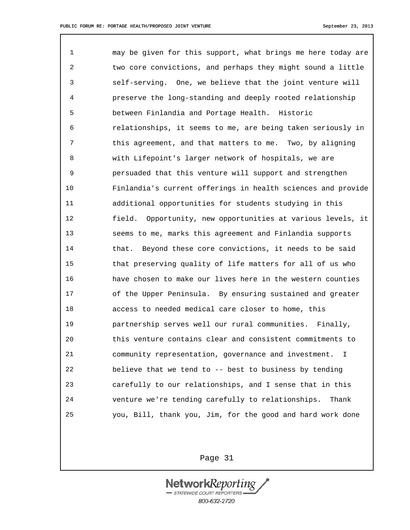1 may be given for this support, what brings me here today are 2 two core convictions, and perhaps they might sound a little 3 self-serving. One, we believe that the joint venture will 4 preserve the long-standing and deeply rooted relationship 5 between Finlandia and Portage Health. Historic 6 relationships, it seems to me, are being taken seriously in 7 this agreement, and that matters to me. Two, by aligning 8 with Lifepoint's larger network of hospitals, we are 9 persuaded that this venture will support and strengthen 10 Finlandia's current offerings in health sciences and provide 11 additional opportunities for students studying in this 12 field. Opportunity, new opportunities at various levels, it 13 seems to me, marks this agreement and Finlandia supports 14 that. Beyond these core convictions, it needs to be said 15 that preserving quality of life matters for all of us who 16 have chosen to make our lives here in the western counties 17 of the Upper Peninsula. By ensuring sustained and greater 18 access to needed medical care closer to home, this 19 partnership serves well our rural communities. Finally, 20 this venture contains clear and consistent commitments to 21 community representation, governance and investment. I 22 believe that we tend to -- best to business by tending 23 carefully to our relationships, and I sense that in this 24 venture we're tending carefully to relationships. Thank 25 you, Bill, thank you, Jim, for the good and hard work done

Page 31

**NetworkReport** STATEWIDE COURT REPORTERS 800-632-2720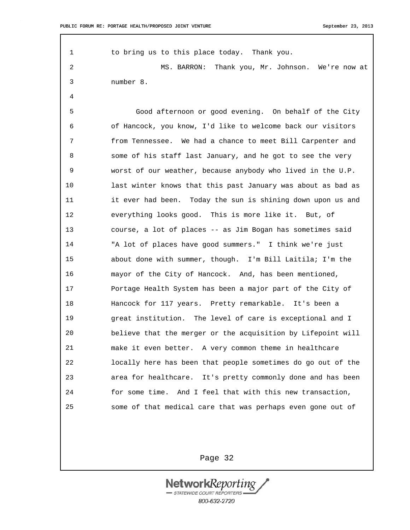1 to bring us to this place today. Thank you. 2 MS. BARRON: Thank you, Mr. Johnson. We're now at 3 number 8. 4 5 Good afternoon or good evening. On behalf of the City 6 of Hancock, you know, I'd like to welcome back our visitors 7 from Tennessee. We had a chance to meet Bill Carpenter and 8 some of his staff last January, and he got to see the very 9 worst of our weather, because anybody who lived in the U.P. 10 last winter knows that this past January was about as bad as 11 it ever had been. Today the sun is shining down upon us and 12 everything looks good. This is more like it. But, of 13 course, a lot of places -- as Jim Bogan has sometimes said 14 "A lot of places have good summers." I think we're just 15 about done with summer, though. I'm Bill Laitila; I'm the 16 mayor of the City of Hancock. And, has been mentioned, 17 Portage Health System has been a major part of the City of 18 Hancock for 117 years. Pretty remarkable. It's been a 19 great institution. The level of care is exceptional and I 20 believe that the merger or the acquisition by Lifepoint will 21 make it even better. A very common theme in healthcare 22 locally here has been that people sometimes do go out of the 23 area for healthcare. It's pretty commonly done and has been 24 for some time. And I feel that with this new transaction, 25 some of that medical care that was perhaps even gone out of

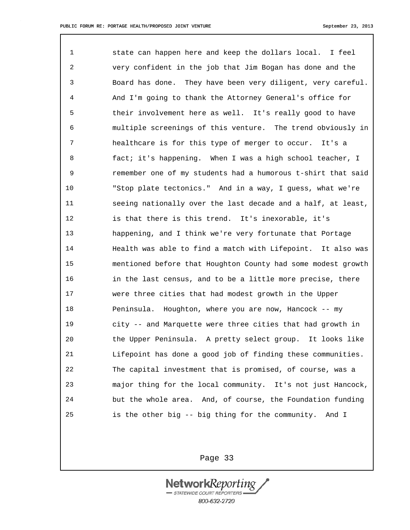1 state can happen here and keep the dollars local. I feel 2 very confident in the job that Jim Bogan has done and the 3 Board has done. They have been very diligent, very careful. 4 And I'm going to thank the Attorney General's office for 5 their involvement here as well. It's really good to have 6 multiple screenings of this venture. The trend obviously in 7 healthcare is for this type of merger to occur. It's a 8 fact; it's happening. When I was a high school teacher, I 9 remember one of my students had a humorous t-shirt that said 10 "Stop plate tectonics." And in a way, I guess, what we're 11 seeing nationally over the last decade and a half, at least, 12 is that there is this trend. It's inexorable, it's 13 happening, and I think we're very fortunate that Portage 14 Health was able to find a match with Lifepoint. It also was 15 mentioned before that Houghton County had some modest growth 16 in the last census, and to be a little more precise, there 17 were three cities that had modest growth in the Upper 18 Peninsula. Houghton, where you are now, Hancock -- my 19 city -- and Marquette were three cities that had growth in 20 the Upper Peninsula. A pretty select group. It looks like 21 Lifepoint has done a good job of finding these communities. 22 The capital investment that is promised, of course, was a 23 major thing for the local community. It's not just Hancock, 24 but the whole area. And, of course, the Foundation funding 25 is the other big -- big thing for the community. And I

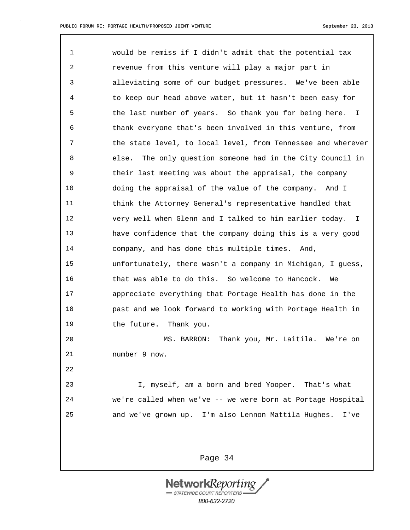1 would be remiss if I didn't admit that the potential tax 2 revenue from this venture will play a major part in 3 alleviating some of our budget pressures. We've been able 4 to keep our head above water, but it hasn't been easy for 5 the last number of years. So thank you for being here. I 6 thank everyone that's been involved in this venture, from 7 the state level, to local level, from Tennessee and wherever 8 else. The only question someone had in the City Council in 9 their last meeting was about the appraisal, the company 10 doing the appraisal of the value of the company. And I 11 think the Attorney General's representative handled that 12 very well when Glenn and I talked to him earlier today. I 13 have confidence that the company doing this is a very good 14 company, and has done this multiple times. And, 15 unfortunately, there wasn't a company in Michigan, I guess, 16 that was able to do this. So welcome to Hancock. We 17 appreciate everything that Portage Health has done in the 18 past and we look forward to working with Portage Health in 19 the future. Thank you. 20 MS. BARRON: Thank you, Mr. Laitila. We're on 21 number 9 now. 22 23 I, myself, am a born and bred Yooper. That's what 24 we're called when we've -- we were born at Portage Hospital 25 and we've grown up. I'm also Lennon Mattila Hughes. I've

> NetworkReporti STATEWIDE COURT REPORTERS 800-632-2720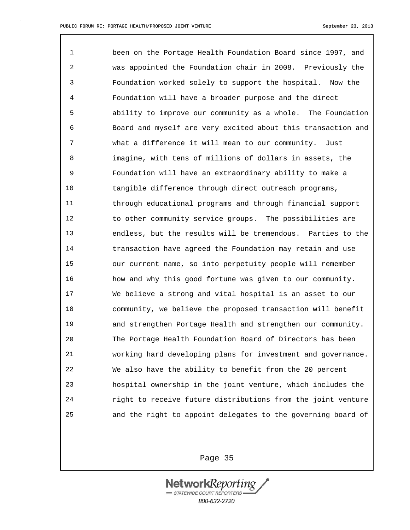1 been on the Portage Health Foundation Board since 1997, and 2 was appointed the Foundation chair in 2008. Previously the 3 Foundation worked solely to support the hospital. Now the 4 Foundation will have a broader purpose and the direct 5 ability to improve our community as a whole. The Foundation 6 Board and myself are very excited about this transaction and 7 what a difference it will mean to our community. Just 8 imagine, with tens of millions of dollars in assets, the 9 Foundation will have an extraordinary ability to make a 10 tangible difference through direct outreach programs, 11 through educational programs and through financial support 12 to other community service groups. The possibilities are 13 endless, but the results will be tremendous. Parties to the 14 transaction have agreed the Foundation may retain and use 15 our current name, so into perpetuity people will remember 16 how and why this good fortune was given to our community. 17 We believe a strong and vital hospital is an asset to our 18 community, we believe the proposed transaction will benefit 19 and strengthen Portage Health and strengthen our community. 20 The Portage Health Foundation Board of Directors has been 21 working hard developing plans for investment and governance. 22 We also have the ability to benefit from the 20 percent 23 hospital ownership in the joint venture, which includes the 24 right to receive future distributions from the joint venture 25 and the right to appoint delegates to the governing board of

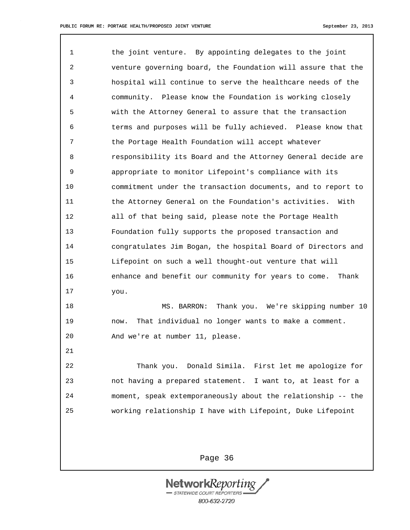1 the joint venture. By appointing delegates to the joint 2 venture governing board, the Foundation will assure that the 3 hospital will continue to serve the healthcare needs of the 4 community. Please know the Foundation is working closely 5 with the Attorney General to assure that the transaction 6 terms and purposes will be fully achieved. Please know that 7 the Portage Health Foundation will accept whatever 8 responsibility its Board and the Attorney General decide are 9 appropriate to monitor Lifepoint's compliance with its 10 commitment under the transaction documents, and to report to 11 the Attorney General on the Foundation's activities. With 12 all of that being said, please note the Portage Health 13 Foundation fully supports the proposed transaction and 14 congratulates Jim Bogan, the hospital Board of Directors and 15 Lifepoint on such a well thought-out venture that will 16 enhance and benefit our community for years to come. Thank 17 you. 18 MS. BARRON: Thank you. We're skipping number 10 19 now. That individual no longer wants to make a comment.

20 And we're at number 11, please.

21

22 Thank you. Donald Simila. First let me apologize for 23 not having a prepared statement. I want to, at least for a 24 moment, speak extemporaneously about the relationship -- the 25 working relationship I have with Lifepoint, Duke Lifepoint

Page 36

NetworkReportt STATEWIDE COURT REPORTERS 800-632-2720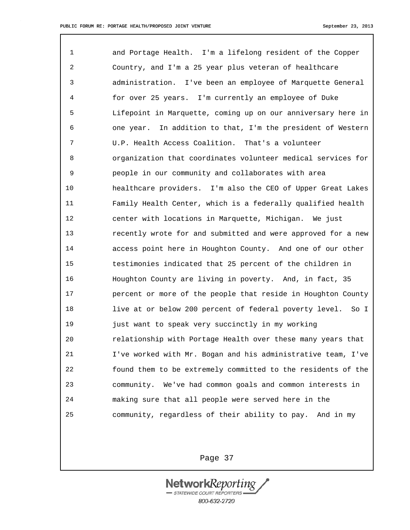1 and Portage Health. I'm a lifelong resident of the Copper 2 Country, and I'm a 25 year plus veteran of healthcare 3 administration. I've been an employee of Marquette General 4 for over 25 years. I'm currently an employee of Duke 5 Lifepoint in Marquette, coming up on our anniversary here in 6 one year. In addition to that, I'm the president of Western 7 U.P. Health Access Coalition. That's a volunteer 8 organization that coordinates volunteer medical services for 9 people in our community and collaborates with area 10 healthcare providers. I'm also the CEO of Upper Great Lakes 11 Family Health Center, which is a federally qualified health 12 center with locations in Marquette, Michigan. We just 13 recently wrote for and submitted and were approved for a new 14 access point here in Houghton County. And one of our other 15 testimonies indicated that 25 percent of the children in 16 Houghton County are living in poverty. And, in fact, 35 17 percent or more of the people that reside in Houghton County 18 live at or below 200 percent of federal poverty level. So I 19 just want to speak very succinctly in my working 20 relationship with Portage Health over these many years that 21 I've worked with Mr. Bogan and his administrative team, I've 22 found them to be extremely committed to the residents of the 23 community. We've had common goals and common interests in 24 making sure that all people were served here in the 25 community, regardless of their ability to pay. And in my

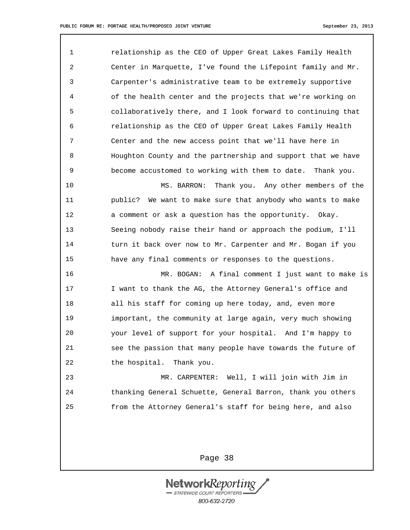1 relationship as the CEO of Upper Great Lakes Family Health 2 Center in Marquette, I've found the Lifepoint family and Mr. 3 Carpenter's administrative team to be extremely supportive 4 of the health center and the projects that we're working on 5 collaboratively there, and I look forward to continuing that 6 relationship as the CEO of Upper Great Lakes Family Health 7 Center and the new access point that we'll have here in 8 Houghton County and the partnership and support that we have 9 become accustomed to working with them to date. Thank you.

10 MS. BARRON: Thank you. Any other members of the 11 public? We want to make sure that anybody who wants to make 12 a comment or ask a question has the opportunity. Okay. 13 Seeing nobody raise their hand or approach the podium, I'll 14 turn it back over now to Mr. Carpenter and Mr. Bogan if you 15 have any final comments or responses to the questions.

16 MR. BOGAN: A final comment I just want to make is 17 I want to thank the AG, the Attorney General's office and 18 all his staff for coming up here today, and, even more 19 important, the community at large again, very much showing 20 your level of support for your hospital. And I'm happy to 21 see the passion that many people have towards the future of 22 the hospital. Thank you.

23 MR. CARPENTER: Well, I will join with Jim in 24 thanking General Schuette, General Barron, thank you others 25 from the Attorney General's staff for being here, and also

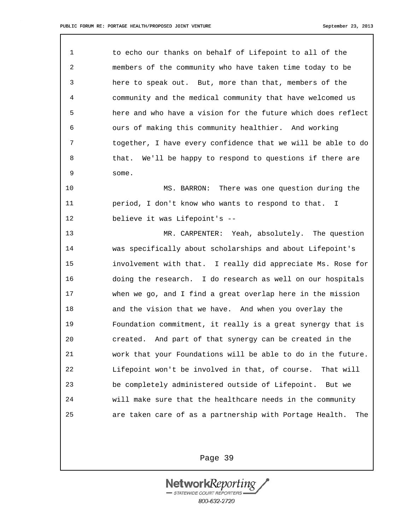1 to echo our thanks on behalf of Lifepoint to all of the 2 members of the community who have taken time today to be 3 here to speak out. But, more than that, members of the 4 community and the medical community that have welcomed us 5 here and who have a vision for the future which does reflect 6 ours of making this community healthier. And working 7 together, I have every confidence that we will be able to do 8 that. We'll be happy to respond to questions if there are 9 some.

10 MS. BARRON: There was one question during the 11 period, I don't know who wants to respond to that. I 12 believe it was Lifepoint's --

13 MR. CARPENTER: Yeah, absolutely. The question 14 was specifically about scholarships and about Lifepoint's 15 involvement with that. I really did appreciate Ms. Rose for 16 doing the research. I do research as well on our hospitals 17 when we go, and I find a great overlap here in the mission 18 and the vision that we have. And when you overlay the 19 Foundation commitment, it really is a great synergy that is 20 created. And part of that synergy can be created in the 21 work that your Foundations will be able to do in the future. 22 Lifepoint won't be involved in that, of course. That will 23 be completely administered outside of Lifepoint. But we 24 will make sure that the healthcare needs in the community 25 are taken care of as a partnership with Portage Health. The

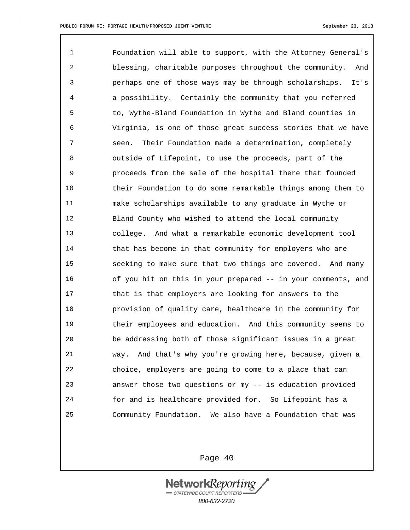1 Foundation will able to support, with the Attorney General's 2 blessing, charitable purposes throughout the community. And 3 perhaps one of those ways may be through scholarships. It's 4 a possibility. Certainly the community that you referred 5 to, Wythe-Bland Foundation in Wythe and Bland counties in 6 Virginia, is one of those great success stories that we have 7 seen. Their Foundation made a determination, completely 8 outside of Lifepoint, to use the proceeds, part of the 9 proceeds from the sale of the hospital there that founded 10 their Foundation to do some remarkable things among them to 11 make scholarships available to any graduate in Wythe or 12 Bland County who wished to attend the local community 13 college. And what a remarkable economic development tool 14 that has become in that community for employers who are 15 seeking to make sure that two things are covered. And many 16 of you hit on this in your prepared -- in your comments, and 17 that is that employers are looking for answers to the 18 provision of quality care, healthcare in the community for 19 their employees and education. And this community seems to 20 be addressing both of those significant issues in a great 21 way. And that's why you're growing here, because, given a 22 choice, employers are going to come to a place that can 23 answer those two questions or my -- is education provided 24 for and is healthcare provided for. So Lifepoint has a 25 Community Foundation. We also have a Foundation that was

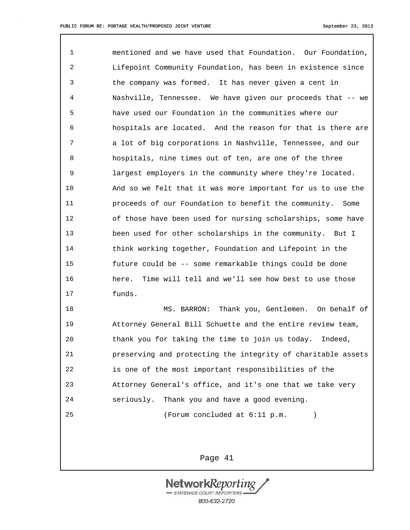1 mentioned and we have used that Foundation. Our Foundation, 2 Lifepoint Community Foundation, has been in existence since 3 the company was formed. It has never given a cent in 4 Nashville, Tennessee. We have given our proceeds that -- we 5 have used our Foundation in the communities where our 6 hospitals are located. And the reason for that is there are 7 a lot of big corporations in Nashville, Tennessee, and our 8 hospitals, nine times out of ten, are one of the three 9 largest employers in the community where they're located. 10 And so we felt that it was more important for us to use the 11 proceeds of our Foundation to benefit the community. Some 12 of those have been used for nursing scholarships, some have 13 been used for other scholarships in the community. But I 14 think working together, Foundation and Lifepoint in the 15 future could be -- some remarkable things could be done 16 here. Time will tell and we'll see how best to use those 17 funds.

18 MS. BARRON: Thank you, Gentlemen. On behalf of 19 Attorney General Bill Schuette and the entire review team, 20 thank you for taking the time to join us today. Indeed, 21 preserving and protecting the integrity of charitable assets 22 is one of the most important responsibilities of the 23 Attorney General's office, and it's one that we take very 24 seriously. Thank you and have a good evening. 25 (Forum concluded at 6:11 p.m. )